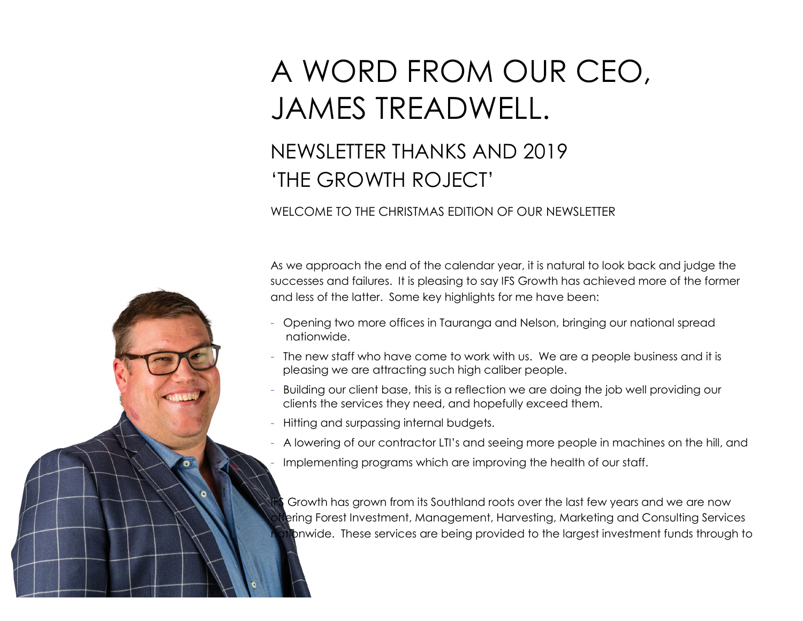## A WORD FROM OUR CEO, JAMES TREADWELL.

## NEWSLETTER THANKS AND 2019 'THE GROWTH ROJECT'

## WELCOME TO THE CHRISTMAS EDITION OF OUR NEWSLETTER

As we approach the end of the calendar year, it is natural to look back and judge the successes and failures. It is pleasing to say IFS Growth has achieved more of the former and less of the latter. Some key highlights for me have been:

- Opening two more offices in Tauranga and Nelson, bringing our national spread nationwide.
- The new staff who have come to work with us. We are a people business and it is pleasing we are attracting such high caliber people.
- Building our client base, this is a reflection we are doing the job well providing our clients the services they need, and hopefully exceed them.
- Hitting and surpassing internal budgets.
- A lowering of our contractor LTI's and seeing more people in machines on the hill, and
- Implementing programs which are improving the health of our staff.

Growth has grown from its Southland roots over the last few years and we are now ering Forest Investment, Management, Harvesting, Marketing and Consulting Services phonwide. These services are being provided to the largest investment funds through to